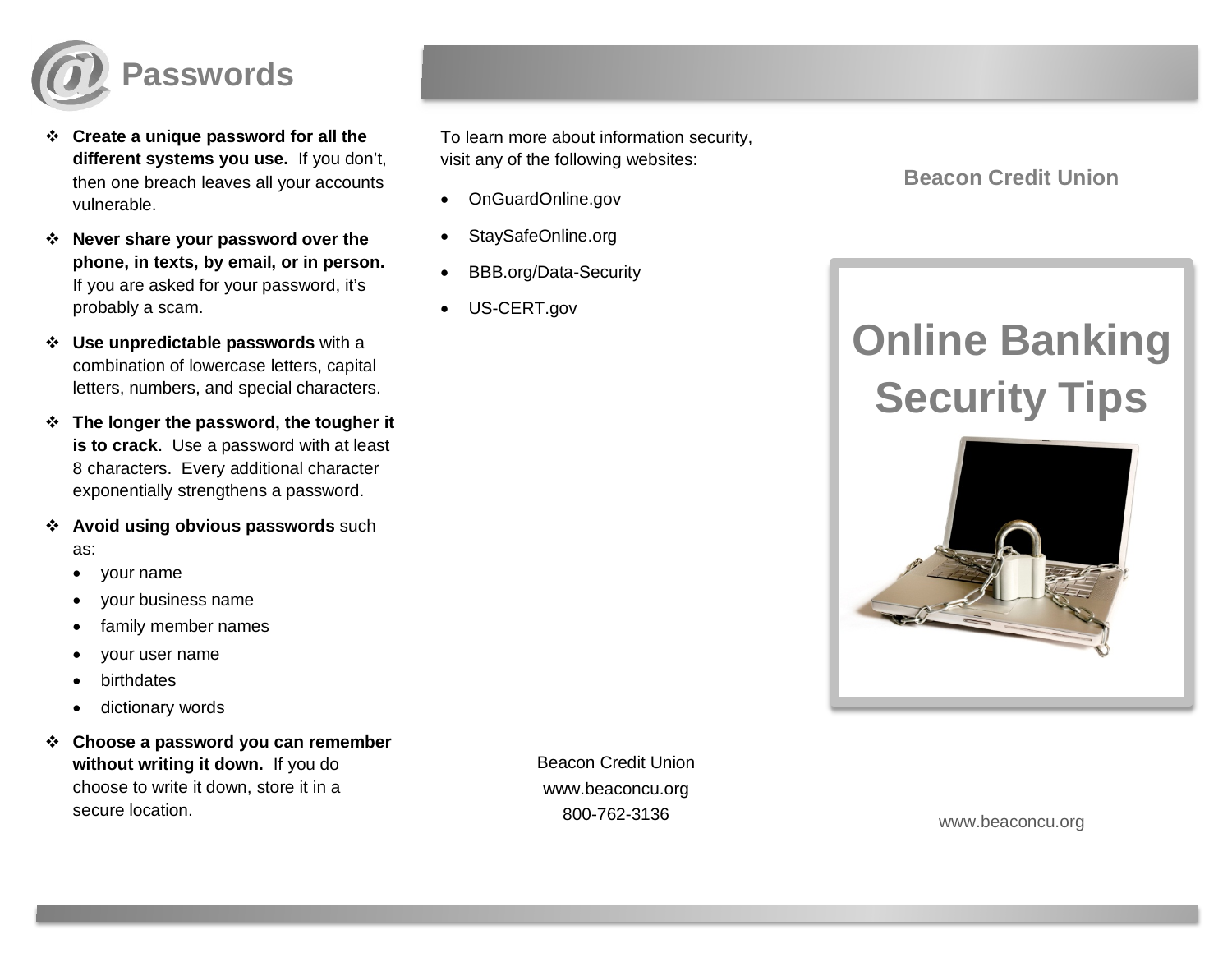

- **Create a unique password for all the different systems you use.** If you don't, then one breach leaves all your accounts vulnerable.
- **Never share your password over the phone, in texts, by email, or in person.** If you are asked for your password, it's probably a scam.
- **Use unpredictable passwords** with a combination of lowercase letters, capital letters, numbers, and special characters.
- **The longer the password, the tougher it is to crack.** Use a password with at least 8 characters. Every additional character exponentially strengthens a password.
- **Avoid using obvious passwords** such as:
	- your name
	- your business name
	- family member names
	- your user name
	- birthdates
	- dictionary words
- **Choose a password you can remember without writing it down.** If you do choose to write it down, store it in a secure location.

To learn more about information security, visit any of the following websites:

- OnGuardOnline.gov
- StaySafeOnline.org
- BBB.org/Data-Security
- US-CERT.gov

**Beacon Credit Union**

## **Online Banking Security Tips**



Beacon Credit Union www.beaconcu.org 800-762-3136

www.beaconcu.org